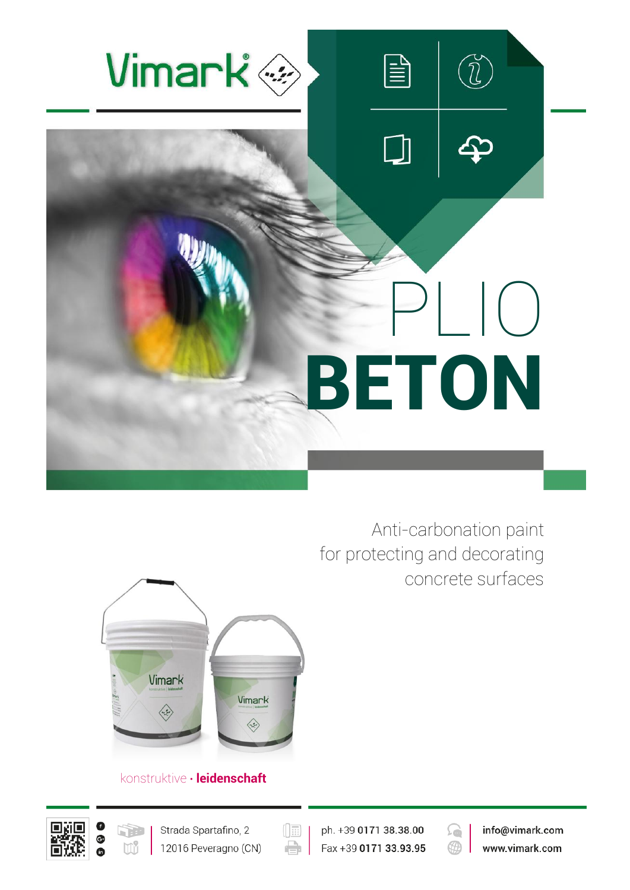

Anti-carbonation paint for protecting and decorating concrete surfaces



# konstruktive **∙ leidenschaft**





ph. +39 0171 38.38.00 Fax +39 0171 33.93.95

 $(\boxed{\mathbb{E}}$ 

e

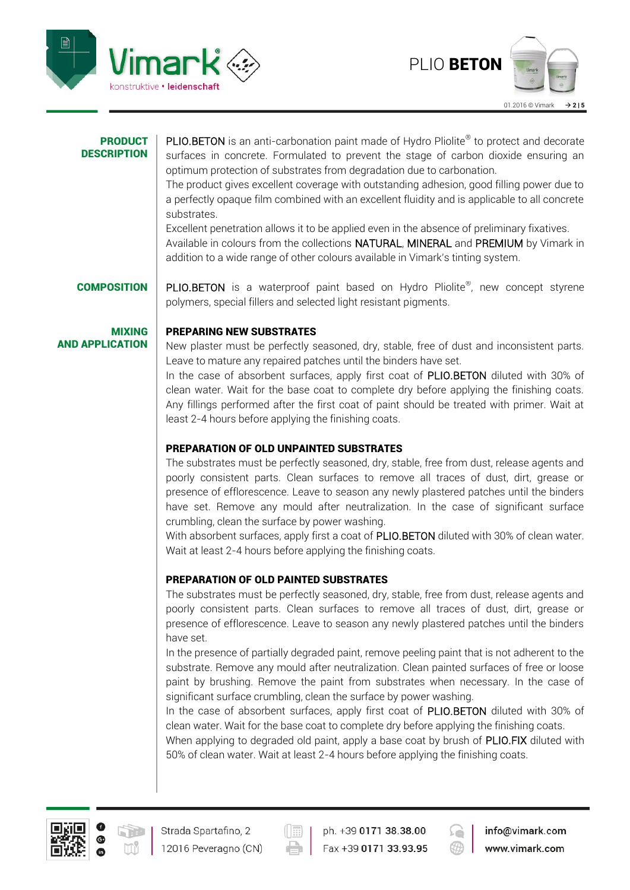



### **PRODUCT DESCRIPTION**

PLIO.BETON is an anti-carbonation paint made of Hydro Pliolite® to protect and decorate surfaces in concrete. Formulated to prevent the stage of carbon dioxide ensuring an optimum protection of substrates from degradation due to carbonation.

The product gives excellent coverage with outstanding adhesion, good filling power due to a perfectly opaque film combined with an excellent fluidity and is applicable to all concrete substrates.

Excellent penetration allows it to be applied even in the absence of preliminary fixatives. Available in colours from the collections NATURAL, MINERAL and PREMIUM by Vimark in addition to a wide range of other colours available in Vimark's tinting system.

**COMPOSITION** PLIO.BETON is a waterproof paint based on Hydro Pliolite®, new concept styrene

MIXING AND APPLICATION

## PREPARING NEW SUBSTRATES

New plaster must be perfectly seasoned, dry, stable, free of dust and inconsistent parts. Leave to mature any repaired patches until the binders have set. In the case of absorbent surfaces, apply first coat of PLIO.BETON diluted with 30% of

clean water. Wait for the base coat to complete dry before applying the finishing coats. Any fillings performed after the first coat of paint should be treated with primer. Wait at least 2-4 hours before applying the finishing coats.

# PREPARATION OF OLD UNPAINTED SUBSTRATES

polymers, special fillers and selected light resistant pigments.

The substrates must be perfectly seasoned, dry, stable, free from dust, release agents and poorly consistent parts. Clean surfaces to remove all traces of dust, dirt, grease or presence of efflorescence. Leave to season any newly plastered patches until the binders have set. Remove any mould after neutralization. In the case of significant surface crumbling, clean the surface by power washing.

With absorbent surfaces, apply first a coat of PLIO.BETON diluted with 30% of clean water. Wait at least 2-4 hours before applying the finishing coats.

# PREPARATION OF OLD PAINTED SUBSTRATES

The substrates must be perfectly seasoned, dry, stable, free from dust, release agents and poorly consistent parts. Clean surfaces to remove all traces of dust, dirt, grease or presence of efflorescence. Leave to season any newly plastered patches until the binders have set.

In the presence of partially degraded paint, remove peeling paint that is not adherent to the substrate. Remove any mould after neutralization. Clean painted surfaces of free or loose paint by brushing. Remove the paint from substrates when necessary. In the case of significant surface crumbling, clean the surface by power washing.

In the case of absorbent surfaces, apply first coat of PLIO.BETON diluted with 30% of clean water. Wait for the base coat to complete dry before applying the finishing coats.

When applying to degraded old paint, apply a base coat by brush of PLIO.FIX diluted with 50% of clean water. Wait at least 2-4 hours before applying the finishing coats.





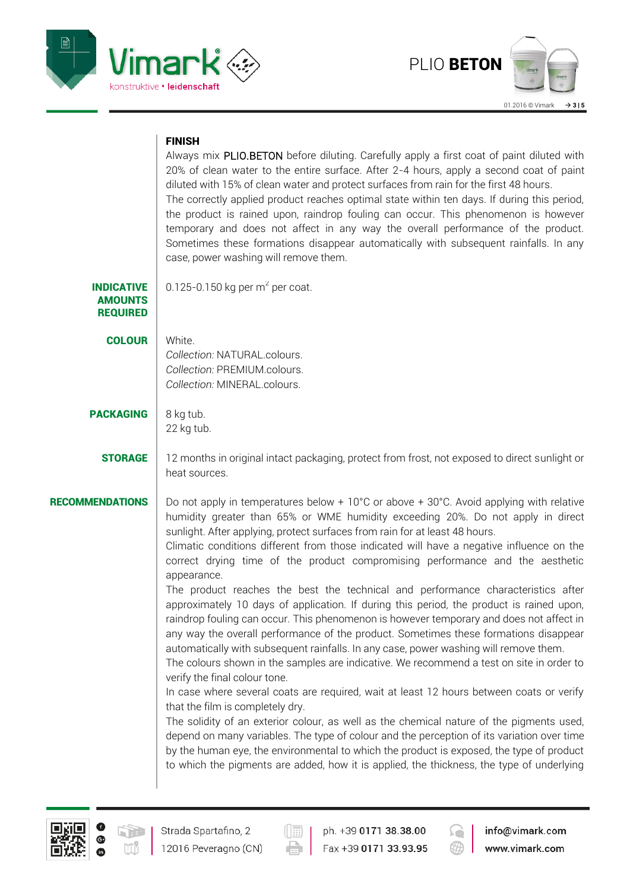



## FINISH

Always mix PLIO.BETON before diluting. Carefully apply a first coat of paint diluted with 20% of clean water to the entire surface. After 2-4 hours, apply a second coat of paint diluted with 15% of clean water and protect surfaces from rain for the first 48 hours. The correctly applied product reaches optimal state within ten days. If during this period, the product is rained upon, raindrop fouling can occur. This phenomenon is however temporary and does not affect in any way the overall performance of the product. Sometimes these formations disappear automatically with subsequent rainfalls. In any case, power washing will remove them.

| INDICATIVE      |
|-----------------|
| <b>AMOUNTS</b>  |
| <b>REQUIRED</b> |

0.125-0.150 kg per  $m<sup>2</sup>$  per coat.

COLOUR White. *Collection:* NATURAL.colours. *Collection:* PREMIUM.colours. *Collection:* MINERAL.colours.

# PACKAGING 8 kg tub.

- 22 kg tub.
- **STORAGE** 12 months in original intact packaging, protect from frost, not exposed to direct sunlight or heat sources.

**RECOMMENDATIONS** Do not apply in temperatures below + 10°C or above + 30°C. Avoid applying with relative humidity greater than 65% or WME humidity exceeding 20%. Do not apply in direct sunlight. After applying, protect surfaces from rain for at least 48 hours.

> Climatic conditions different from those indicated will have a negative influence on the correct drying time of the product compromising performance and the aesthetic appearance.

> The product reaches the best the technical and performance characteristics after approximately 10 days of application. If during this period, the product is rained upon, raindrop fouling can occur. This phenomenon is however temporary and does not affect in any way the overall performance of the product. Sometimes these formations disappear automatically with subsequent rainfalls. In any case, power washing will remove them.

> The colours shown in the samples are indicative. We recommend a test on site in order to verify the final colour tone.

> In case where several coats are required, wait at least 12 hours between coats or verify that the film is completely dry.

> The solidity of an exterior colour, as well as the chemical nature of the pigments used, depend on many variables. The type of colour and the perception of its variation over time by the human eye, the environmental to which the product is exposed, the type of product to which the pigments are added, how it is applied, the thickness, the type of underlying



ph. +39 0171 38.38.00 Fax +39 0171 33.93.95

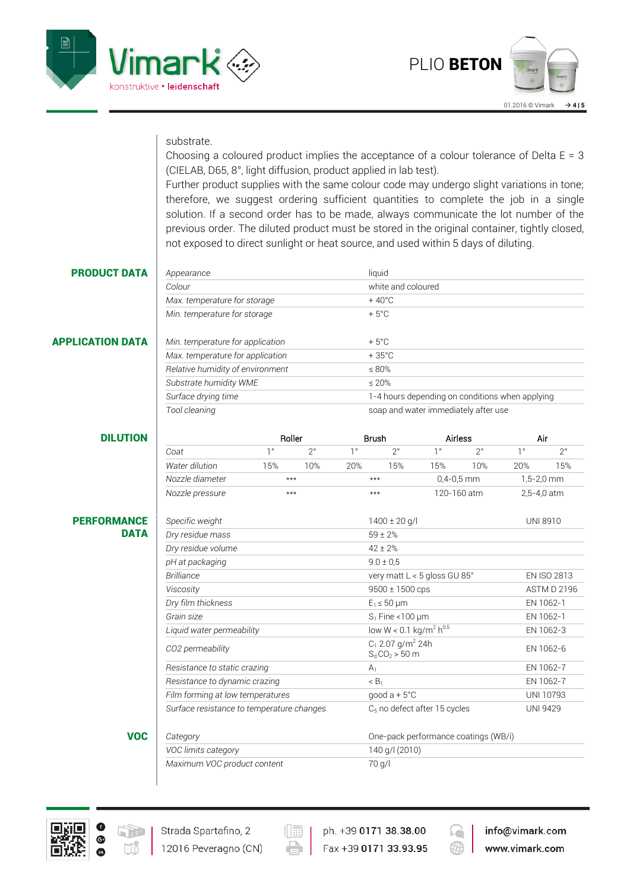



### substrate.

Choosing a coloured product implies the acceptance of a colour tolerance of Delta  $E = 3$ (CIELAB, D65, 8°, light diffusion, product applied in lab test).

Further product supplies with the same colour code may undergo slight variations in tone; therefore, we suggest ordering sufficient quantities to complete the job in a single solution. If a second order has to be made, always communicate the lot number of the previous order. The diluted product must be stored in the original container, tightly closed, not exposed to direct sunlight or heat source, and used within 5 days of diluting.

### **PRODUCT DATA** *Appearance* liquid

### APPLICATION DATA *Min. temperature for application* + 5°C

| Min. temperature for storage     | $+5^{\circ}$ C                                  |
|----------------------------------|-------------------------------------------------|
| Min. temperature for application | $+5^{\circ}$ C                                  |
| Max. temperature for application | $+35^{\circ}$ C                                 |
| Relative humidity of environment | $\leq 80\%$                                     |
| Substrate humidity WME           | $\leq 20\%$                                     |
| Surface drying time              | 1-4 hours depending on conditions when applying |
| Tool cleaning                    | soap and water immediately after use            |

*Colour* white and coloured

*Max. temperature for storage*  $+40^{\circ}$ C

| <b>DILUTION</b>    |                                           | Roller      |             | <b>Brush</b> |                                                      | <b>Airless</b> |              | Air         |                    |  |
|--------------------|-------------------------------------------|-------------|-------------|--------------|------------------------------------------------------|----------------|--------------|-------------|--------------------|--|
|                    | Coat                                      | $1^{\circ}$ | $2^{\circ}$ | $1^{\circ}$  | $2^{\circ}$                                          | $1^{\circ}$    | $2^{\circ}$  | $1^{\circ}$ | $2^{\circ}$        |  |
|                    | Water dilution                            | 15%         | 10%         | 20%          | 15%                                                  | 15%            | 10%          | 20%         | 15%                |  |
|                    | Nozzle diameter                           | $***$       |             |              | $***$                                                |                | $0,4-0,5$ mm |             | $1,5-2,0$ mm       |  |
|                    | Nozzle pressure                           | ***         |             |              | 120-160 atm<br>***                                   |                | 2,5-4,0 atm  |             |                    |  |
| <b>PERFORMANCE</b> | Specific weight                           |             |             |              | $1400 \pm 20$ g/l                                    |                |              |             | UNI 8910           |  |
| <b>DATA</b>        | Dry residue mass                          |             |             |              | $59 \pm 2%$                                          |                |              |             |                    |  |
|                    | Dry residue volume                        |             |             |              | $42 \pm 2%$                                          |                |              |             |                    |  |
|                    | pH at packaging                           |             |             |              | $9.0 \pm 0.5$                                        |                |              |             |                    |  |
|                    | <b>Brilliance</b>                         |             |             |              | very matt L < 5 gloss GU 85°                         |                |              |             | <b>EN ISO 2813</b> |  |
|                    | Viscosity                                 |             |             |              | $9500 \pm 1500$ cps                                  |                |              |             | <b>ASTM D 2196</b> |  |
|                    | Dry film thickness                        |             |             |              | $E_1 \leq 50$ µm                                     |                |              |             | EN 1062-1          |  |
|                    | Grain size                                |             |             |              | $S_1$ Fine < 100 $\mu$ m                             |                |              |             | EN 1062-1          |  |
|                    | Liquid water permeability                 |             |             |              | low $W < 0.1$ kg/m <sup>2</sup> h <sup>0,5</sup>     |                |              |             | EN 1062-3          |  |
|                    | CO2 permeability                          |             |             |              | $C_1$ 2.07 g/m <sup>2</sup> 24h<br>$S_d CO_2 > 50$ m |                |              |             | EN 1062-6          |  |
|                    | Resistance to static crazing              |             |             |              | A <sub>1</sub>                                       |                |              |             | EN 1062-7          |  |
|                    | Resistance to dynamic crazing             |             |             |              | < B <sub>1</sub>                                     |                |              |             | EN 1062-7          |  |
|                    | Film forming at low temperatures          |             |             |              | good $a + 5$ °C                                      |                |              |             | <b>UNI 10793</b>   |  |
|                    | Surface resistance to temperature changes |             |             |              | $C5$ no defect after 15 cycles                       |                |              |             | <b>UNI 9429</b>    |  |
| <b>VOC</b>         | Category                                  |             |             |              | One-pack performance coatings (WB/i)                 |                |              |             |                    |  |
|                    | VOC limits category                       |             |             |              | 140 g/l (2010)                                       |                |              |             |                    |  |



r de la

*Maximum VOC product content* 70 g/l

Strada Spartafino, 2

12016 Peveragno (CN)



Fax +39 0171 33.93.95